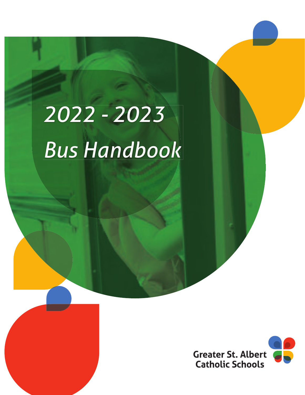# *2022 - 2023 Bus Handbook*

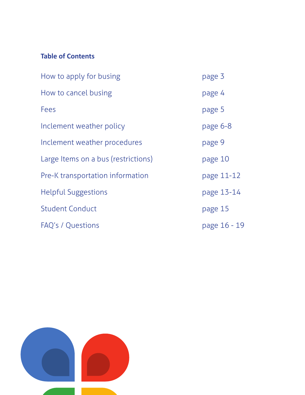## **Table of Contents**

| How to apply for busing             | page 3       |
|-------------------------------------|--------------|
| How to cancel busing                | page 4       |
| Fees                                | page 5       |
| Inclement weather policy            | page 6-8     |
| Inclement weather procedures        | page 9       |
| Large Items on a bus (restrictions) | page 10      |
| Pre-K transportation information    | page 11-12   |
| <b>Helpful Suggestions</b>          | page 13-14   |
| <b>Student Conduct</b>              | page 15      |
| FAQ's / Questions                   | page 16 - 19 |

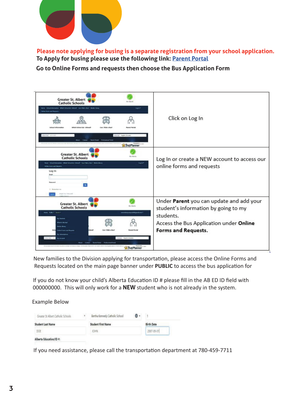

 **Please note applying for busing is a separate registration from your school application. To Apply for busing please use the following link: Parent Portal**

 **Go to Online Forms and requests then choose the Bus Application Form**

| <b>Greater St. Albert</b><br><b>Roy Miles Ad</b><br><b>Catholic Schools</b><br>Environmental which Environmental Countries and Interfaces<br><b>INSTANT</b><br>in Telecombiness<br><b>Infinant Information</b><br>Which Island do Limited?<br><b>Renault Royler</b><br>Carlo I Window in Mine<br><b>Region classics</b><br>class on son<br>Total Total - Preference School<br><b>RiBusPlanner</b>                     | Click on Log In                                                                                                                                                 |
|-----------------------------------------------------------------------------------------------------------------------------------------------------------------------------------------------------------------------------------------------------------------------------------------------------------------------------------------------------------------------------------------------------------------------|-----------------------------------------------------------------------------------------------------------------------------------------------------------------|
| <b>Greater St. Albert</b><br><b>Ballista</b><br><b>Catholic Schools</b><br><b>Stedishmann Wet Stedes Steely Carl Straight Metalling</b><br><b>Super</b><br><b>Wilse hows and hersen</b><br>Log In<br>1 Janette to                                                                                                                                                                                                     | Log In or create a NEW account to access our<br>online forms and requests                                                                                       |
| istant that finished<br><b>Greater St. Albert</b><br><b>Box Adams</b><br><b>Catholic Schools</b><br>re Ade- forest<br>the interpretation part in the<br><b>My Students</b><br><b>Part Hotel</b><br>Meda Shimo<br>Cap 1 Kide a Band<br><b>Farmed Flasher</b><br><b>Solicie France and Bower</b><br><b>Business (Conserve)</b><br><b>Root Crews Systems Administration</b><br>control of the party<br><b>BusPlanner</b> | Under Parent you can update and add your<br>student's information by going to my<br>students.<br>Access the Bus Application under Online<br>Forms and Requests. |

New families to the Division applying for transportation, please access the Online Forms and Requests located on the main page banner under PUBLIC to access the bus application for

If you do not know your child's Alberta Education ID # please fill in the AB ED ID field with 000000000. This will only work for a **NEW** student who is not already in the system.

Example Below

| Greater St Albert Catholic Schools | ٠ | Bertha Kennedy Catholic School | . . |            |
|------------------------------------|---|--------------------------------|-----|------------|
| Student Last Name                  |   | Student First Name             |     | Birth Date |
| DOE                                |   | <b>JOHN</b>                    |     | 2007-09-01 |
| Alberta Education/ID #:            |   |                                |     |            |

If you need assistance, please call the transportation department at 780-459-7711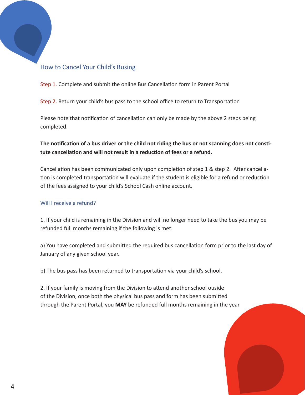## How to Cancel Your Child's Busing

Step 1. Complete and submit the online Bus Cancellation form in Parent Portal

Step 2. Return your child's bus pass to the school office to return to Transportation

Please note that notification of cancellation can only be made by the above 2 steps being completed.

**The notification of a bus driver or the child not riding the bus or not scanning does not constitute cancellaƟ on and will not result in a reducƟ on of fees or a refund.** 

Cancellation has been communicated only upon completion of step 1 & step 2. After cancellation is completed transportation will evaluate if the student is eligible for a refund or reduction of the fees assigned to your child's School Cash online account.

#### Will I receive a refund?

1. If your child is remaining in the Division and will no longer need to take the bus you may be refunded full months remaining if the following is met:

a) You have completed and submitted the required bus cancellation form prior to the last day of January of any given school year.

b) The bus pass has been returned to transportation via your child's school.

2. If your family is moving from the Division to attend another school ouside of the Division, once both the physical bus pass and form has been submitted through the Parent Portal, you **MAY** be refunded full months remaining in the year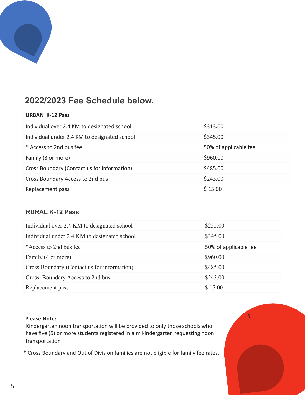

## **2022/2023 Fee Schedule below.**

| <b>URBAN K-12 Pass</b>                       |                       |
|----------------------------------------------|-----------------------|
| Individual over 2.4 KM to designated school  | \$313.00              |
| Individual under 2.4 KM to designated school | \$345.00              |
| * Access to 2nd bus fee                      | 50% of applicable fee |
| Family (3 or more)                           | \$960.00              |
| Cross Boundary (Contact us for information)  | \$485.00              |
| Cross Boundary Access to 2nd bus             | \$243.00              |
| Replacement pass                             | \$15.00               |

## **RURAL K-12 Pass**

| Individual over 2.4 KM to designated school  | \$255.00              |
|----------------------------------------------|-----------------------|
| Individual under 2.4 KM to designated school | \$345.00              |
| *Access to 2nd bus fee                       | 50% of applicable fee |
| Family (4 or more)                           | \$960.00              |
| Cross Boundary (Contact us for information)  | \$485.00              |
| Cross Boundary Access to 2nd bus             | \$243.00              |
| Replacement pass                             | \$15.00               |

5

#### **Please Note:**

Kindergarten noon transportation will be provided to only those schools who have five (5) or more students registered in a.m kindergarten requesting noon transportaƟ on

\* Cross Boundary and Out of Division families are not eligible for family fee rates.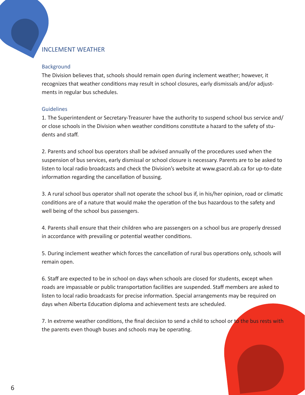## INCLEMENT WEATHER

#### **Background**

The Division believes that, schools should remain open during inclement weather; however, it recognizes that weather conditions may result in school closures, early dismissals and/or adjustments in regular bus schedules.

#### Guidelines

1. The Superintendent or Secretary-Treasurer have the authority to suspend school bus service and/ or close schools in the Division when weather conditions constitute a hazard to the safety of students and staff.

2. Parents and school bus operators shall be advised annually of the procedures used when the suspension of bus services, early dismissal or school closure is necessary. Parents are to be asked to listen to local radio broadcasts and check the Division's website at www.gsacrd.ab.ca for up-to-date information regarding the cancellation of bussing.

3. A rural school bus operator shall not operate the school bus if, in his/her opinion, road or climatic conditions are of a nature that would make the operation of the bus hazardous to the safety and well being of the school bus passengers.

4. Parents shall ensure that their children who are passengers on a school bus are properly dressed in accordance with prevailing or potential weather conditions.

5. During inclement weather which forces the cancellation of rural bus operations only, schools will remain open.

6. Staff are expected to be in school on days when schools are closed for students, except when roads are impassable or public transportation facilities are suspended. Staff members are asked to listen to local radio broadcasts for precise information. Special arrangements may be required on days when Alberta Education diploma and achievement tests are scheduled.

7. In extreme weather conditions, the final decision to send a child to school or to the bus rests with the parents even though buses and schools may be operating.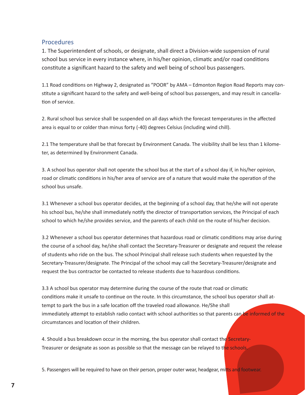#### **Procedures**

1. The Superintendent of schools, or designate, shall direct a Division-wide suspension of rural school bus service in every instance where, in his/her opinion, climatic and/or road conditions constitute a significant hazard to the safety and well being of school bus passengers.

1.1 Road conditions on Highway 2, designated as "POOR" by AMA - Edmonton Region Road Reports may constitute a significant hazard to the safety and well-being of school bus passengers, and may result in cancellation of service.

2. Rural school bus service shall be suspended on all days which the forecast temperatures in the affected area is equal to or colder than minus forty (-40) degrees Celsius (including wind chill).

2.1 The temperature shall be that forecast by Environment Canada. The visibility shall be less than 1 kilometer, as determined by Environment Canada.

3. A school bus operator shall not operate the school bus at the start of a school day if, in his/her opinion, road or climatic conditions in his/her area of service are of a nature that would make the operation of the school bus unsafe.

3.1 Whenever a school bus operator decides, at the beginning of a school day, that he/she will not operate his school bus, he/she shall immediately notify the director of transportation services, the Principal of each school to which he/she provides service, and the parents of each child on the route of his/her decision.

3.2 Whenever a school bus operator determines that hazardous road or climatic conditions may arise during the course of a school day, he/she shall contact the Secretary-Treasurer or designate and request the release of students who ride on the bus. The school Principal shall release such students when requested by the Secretary-Treasurer/designate. The Principal of the school may call the Secretary-Treasurer/designate and request the bus contractor be contacted to release students due to hazardous conditions.

3.3 A school bus operator may determine during the course of the route that road or climatic conditions make it unsafe to continue on the route. In this circumstance, the school bus operator shall attempt to park the bus in a safe location off the traveled road allowance. He/She shall immediately attempt to establish radio contact with school authorities so that parents can be informed of the circumstances and location of their children.

4. Should a bus breakdown occur in the morning, the bus operator shall contact the Secretary-Treasurer or designate as soon as possible so that the message can be relayed to the schools.

5. Passengers will be required to have on their person, proper outer wear, headgear, mitts and footwear.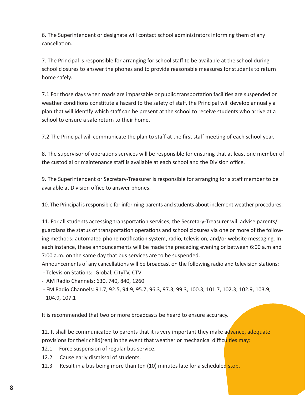6. The Superintendent or designate will contact school administrators informing them of any cancellation.

7. The Principal is responsible for arranging for school staff to be available at the school during school closures to answer the phones and to provide reasonable measures for students to return home safely.

7.1 For those days when roads are impassable or public transportation facilities are suspended or weather conditions constitute a hazard to the safety of staff, the Principal will develop annually a plan that will identify which staff can be present at the school to receive students who arrive at a school to ensure a safe return to their home.

7.2 The Principal will communicate the plan to staff at the first staff meeting of each school year.

8. The supervisor of operations services will be responsible for ensuring that at least one member of the custodial or maintenance staff is available at each school and the Division office.

9. The Superintendent or Secretary-Treasurer is responsible for arranging for a staff member to be available at Division office to answer phones.

10. The Principal is responsible for informing parents and students about inclement weather procedures.

11. For all students accessing transportation services, the Secretary-Treasurer will advise parents/ guardians the status of transportation operations and school closures via one or more of the following methods: automated phone notification system, radio, television, and/or website messaging. In each instance, these announcements will be made the preceding evening or between 6:00 a.m and 7:00 a.m. on the same day that bus services are to be suspended.

Announcements of any cancellations will be broadcast on the following radio and television stations:

- Television Stations: Global, CityTV, CTV

- AM Radio Channels: 630, 740, 840, 1260
- FM Radio Channels: 91.7, 92.5, 94.9, 95.7, 96.3, 97.3, 99.3, 100.3, 101.7, 102.3, 102.9, 103.9, 104.9, 107.1

It is recommended that two or more broadcasts be heard to ensure accuracy.

12. It shall be communicated to parents that it is very important they make advance, adequate provisions for their child(ren) in the event that weather or mechanical difficulties may:

- 12.1 Force suspension of regular bus service.
- 12.2 Cause early dismissal of students.
- 12.3 Result in a bus being more than ten (10) minutes late for a scheduled stop.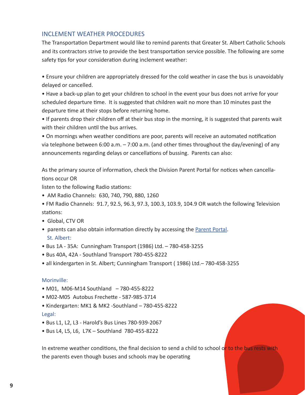#### INCLEMENT WEATHER PROCEDURES

The Transportation Department would like to remind parents that Greater St. Albert Catholic Schools and its contractors strive to provide the best transportation service possible. The following are some safety tips for your consideration during inclement weather:

• Ensure your children are appropriately dressed for the cold weather in case the bus is unavoidably delayed or cancelled.

• Have a back-up plan to get your children to school in the event your bus does not arrive for your scheduled departure time. It is suggested that children wait no more than 10 minutes past the departure time at their stops before returning home.

• If parents drop their children off at their bus stop in the morning, it is suggested that parents wait with their children until the bus arrives.

• On mornings when weather conditions are poor, parents will receive an automated notification via telephone between 6:00 a.m.  $-7:00$  a.m. (and other times throughout the day/evening) of any announcements regarding delays or cancellations of bussing. Parents can also:

As the primary source of information, check the Division Parent Portal for notices when cancella-Ɵ ons occur OR

listen to the following Radio stations:

• AM Radio Channels: 630, 740, 790, 880, 1260

• FM Radio Channels: 91.7, 92.5, 96.3, 97.3, 100.3, 103.9, 104.9 OR watch the following Television stations:

- Global, CTV OR
- parents can also obtain information directly by accessing the Parent Portal. St. Albert:
- Bus 1A 35A: Cunningham Transport (1986) Ltd. 780-458-3255
- Bus 40A, 42A Southland Transport 780-455-8222
- all kindergarten in St. Albert; Cunningham Transport ( 1986) Ltd.– 780-458-3255

#### Morinville:

- M01, M06-M14 Southland 780-455-8222
- M02-M05 Autobus Frechette 587-985-3714
- Kindergarten: MK1 & MK2 -Southland 780-455-8222 Legal:
- Bus L1, L2, L3 Harold's Bus Lines 780-939-2067
- Bus L4, L5, L6, L7K Southland 780-455-8222

In extreme weather conditions, the final decision to send a child to school or to the bus rests with the parents even though buses and schools may be operating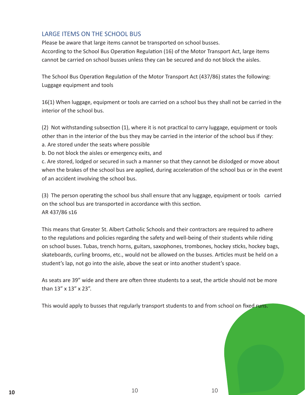## LARGE ITEMS ON THE SCHOOL BUS

Please be aware that large items cannot be transported on school busses. According to the School Bus Operation Regulation (16) of the Motor Transport Act, large items cannot be carried on school busses unless they can be secured and do not block the aisles.

The School Bus Operation Regulation of the Motor Transport Act (437/86) states the following: Luggage equipment and tools

16(1) When luggage, equipment or tools are carried on a school bus they shall not be carried in the interior of the school bus.

 $(2)$  Not withstanding subsection  $(1)$ , where it is not practical to carry luggage, equipment or tools other than in the interior of the bus they may be carried in the interior of the school bus if they: a. Are stored under the seats where possible

b. Do not block the aisles or emergency exits, and

c. Are stored, lodged or secured in such a manner so that they cannot be dislodged or move about when the brakes of the school bus are applied, during acceleration of the school bus or in the event of an accident involving the school bus.

(3) The person operating the school bus shall ensure that any luggage, equipment or tools carried on the school bus are transported in accordance with this section. AR 437/86 s16

This means that Greater St. Albert Catholic Schools and their contractors are required to adhere to the regulations and policies regarding the safety and well-being of their students while riding on school buses. Tubas, trench horns, guitars, saxophones, trombones, hockey sticks, hockey bags, skateboards, curling brooms, etc., would not be allowed on the busses. Articles must be held on a student's lap, not go into the aisle, above the seat or into another student's space.

As seats are 39" wide and there are often three students to a seat, the article should not be more than 13" x 13" x 23".

This would apply to busses that regularly transport students to and from school on fixed runs.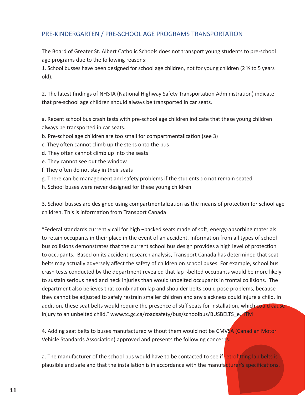## PRE-KINDERGARTEN / PRE-SCHOOL AGE PROGRAMS TRANSPORTATION

The Board of Greater St. Albert Catholic Schools does not transport young students to pre-school age programs due to the following reasons:

1. School busses have been designed for school age children, not for young children (2 ½ to 5 years old).

2. The latest findings of NHSTA (National Highway Safety Transportation Administration) indicate that pre-school age children should always be transported in car seats.

a. Recent school bus crash tests with pre-school age children indicate that these young children always be transported in car seats.

- b. Pre-school age children are too small for compartmentalization (see 3)
- c. They often cannot climb up the steps onto the bus
- d. They often cannot climb up into the seats
- e. They cannot see out the window
- f. They often do not stay in their seats
- g. There can be management and safety problems if the students do not remain seated
- h. School buses were never designed for these young children

3. School busses are designed using compartmentalization as the means of protection for school age children. This is information from Transport Canada:

"Federal standards currently call for high  $\neg$  backed seats made of soft, energy-absorbing materials to retain occupants in their place in the event of an accident. Information from all types of school bus collisions demonstrates that the current school bus design provides a high level of protection to occupants. Based on its accident research analysis, Transport Canada has determined that seat belts may actually adversely affect the safety of children on school buses. For example, school bus crash tests conducted by the department revealed that lap ¬belted occupants would be more likely to sustain serious head and neck injuries than would unbelted occupants in frontal collisions. The department also believes that combination lap and shoulder belts could pose problems, because they cannot be adjusted to safely restrain smaller children and any slackness could injure a child. In addition, these seat belts would require the presence of stiff seats for installation, which could cause injury to an unbelted child." www.tc.gc.ca/roadsafety/bus/schoolbus/BUSBELTS\_e.HTM

4. Adding seat belts to buses manufactured without them would not be CMVSA (Canadian Motor Vehicle Standards Association) approved and presents the following concerns:

a. The manufacturer of the school bus would have to be contacted to see if retrofitting lap belts is plausible and safe and that the installation is in accordance with the manufacturer's specifications.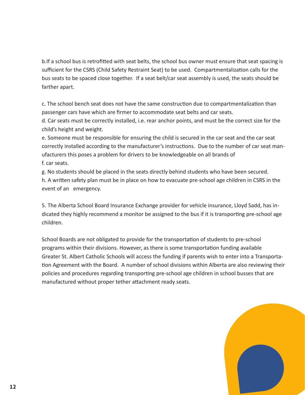b. If a school bus is retrofitted with seat belts, the school bus owner must ensure that seat spacing is sufficient for the CSRS (Child Safety Restraint Seat) to be used. Compartmentalization calls for the bus seats to be spaced close together. If a seat belt/car seat assembly is used, the seats should be farther apart.

c. The school bench seat does not have the same construction due to compartmentalization than passenger cars have which are firmer to accommodate seat belts and car seats.

d. Car seats must be correctly installed, i.e. rear anchor points, and must be the correct size for the child's height and weight.

e. Someone must be responsible for ensuring the child is secured in the car seat and the car seat correctly installed according to the manufacturer's instructions. Due to the number of car seat manufacturers this poses a problem for drivers to be knowledgeable on all brands of f. car seats.

g. No students should be placed in the seats directly behind students who have been secured. h. A written safety plan must be in place on how to evacuate pre-school age children in CSRS in the event of an emergency.

5. The Alberta School Board Insurance Exchange provider for vehicle insurance, Lloyd Sadd, has indicated they highly recommend a monitor be assigned to the bus if it is transporting pre-school age children.

School Boards are not obligated to provide for the transportation of students to pre-school programs within their divisions. However, as there is some transportation funding available Greater St. Albert Catholic Schools will access the funding if parents wish to enter into a Transportation Agreement with the Board. A number of school divisions within Alberta are also reviewing their policies and procedures regarding transporting pre-school age children in school busses that are manufactured without proper tether attachment ready seats.

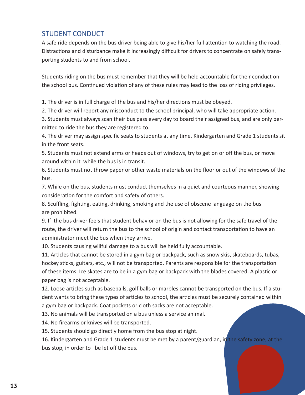## STUDENT CONDUCT

A safe ride depends on the bus driver being able to give his/her full attention to watching the road. Distractions and disturbance make it increasingly difficult for drivers to concentrate on safely transporting students to and from school.

Students riding on the bus must remember that they will be held accountable for their conduct on the school bus. Continued violation of any of these rules may lead to the loss of riding privileges.

1. The driver is in full charge of the bus and his/her directions must be obeyed.

2. The driver will report any misconduct to the school principal, who will take appropriate action.

3. Students must always scan their bus pass every day to board their assigned bus, and are only permitted to ride the bus they are registered to.

4. The driver may assign specific seats to students at any time. Kindergarten and Grade 1 students sit in the front seats.

5. Students must not extend arms or heads out of windows, try to get on or off the bus, or move around within it while the bus is in transit.

6. Students must not throw paper or other waste materials on the floor or out of the windows of the bus.

7. While on the bus, students must conduct themselves in a quiet and courteous manner, showing consideration for the comfort and safety of others.

8. Scuffling, fighting, eating, drinking, smoking and the use of obscene language on the bus are prohibited.

9. If the bus driver feels that student behavior on the bus is not allowing for the safe travel of the route, the driver will return the bus to the school of origin and contact transportation to have an administrator meet the bus when they arrive.

10. Students causing willful damage to a bus will be held fully accountable.

11. Articles that cannot be stored in a gym bag or backpack, such as snow skis, skateboards, tubas, hockey sticks, guitars, etc., will not be transported. Parents are responsible for the transportation of these items. Ice skates are to be in a gym bag or backpack with the blades covered. A plastic or paper bag is not acceptable.

12. Loose articles such as baseballs, golf balls or marbles cannot be transported on the bus. If a student wants to bring these types of articles to school, the articles must be securely contained within a gym bag or backpack. Coat pockets or cloth sacks are not acceptable.

13. No animals will be transported on a bus unless a service animal.

14. No firearms or knives will be transported.

15. Students should go directly home from the bus stop at night.

16. Kindergarten and Grade 1 students must be met by a parent/guardian, in the safety zone, at the bus stop, in order to be let off the bus.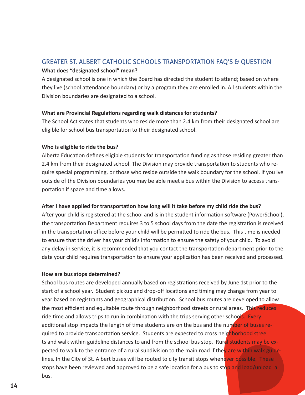## GREATER ST. ALBERT CATHOLIC SCHOOLS TRANSPORTATION FAQ'S & QUESTION

#### **What does "designated school" mean?**

A designated school is one in which the Board has directed the student to attend; based on where they live (school attendance boundary) or by a program they are enrolled in. All students within the Division boundaries are designated to a school.

#### **What are Provincial Regulations regarding walk distances for students?**

The School Act states that students who reside more than 2.4 km from their designated school are eligible for school bus transportation to their designated school.

#### **Who is eligible to ride the bus?**

Alberta Education defines eligible students for transportation funding as those residing greater than 2.4 km from their designated school. The Division may provide transportation to students who require special programming, or those who reside outside the walk boundary for the school. If you lve outside of the Division boundaries you may be able meet a bus within the Division to access transportation if space and time allows.

#### **AŌ er I have applied for transportaƟ on how long will it take before my child ride the bus?**

After your child is registered at the school and is in the student information software (PowerSchool), the transportation Department requires 3 to 5 school days from the date the registration is received in the transportation office before your child will be permitted to ride the bus. This time is needed to ensure that the driver has your child's information to ensure the safety of your child. To avoid any delay in service, it is recommended that you contact the transportation department prior to the date your child requires transportation to ensure your application has been received and processed.

#### **How are bus stops determined?**

School bus routes are developed annually based on registrations received by June 1st prior to the start of a school year. Student pickup and drop-off locations and timing may change from year to year based on registrants and geographical distribution. School bus routes are developed to allow the most efficient and equitable route through neighborhood streets or rural areas. This reduces ride time and allows trips to run in combination with the trips serving other schools. Every additional stop impacts the length of time students are on the bus and the number of buses required to provide transportation service. Students are expected to cross neighborhood stree ts and walk within guideline distances to and from the school bus stop. Rural students may be expected to walk to the entrance of a rural subdivision to the main road if the rare within walk guidelines. In the City of St. Albert buses will be routed to city transit stops whenever possible. These stops have been reviewed and approved to be a safe location for a bus to stop and load/unload a bus.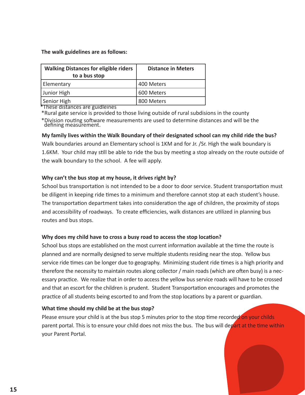#### **The walk guidelines are as follows:**

| <b>Walking Distances for eligible riders</b><br>to a bus stop | <b>Distance in Meters</b> |
|---------------------------------------------------------------|---------------------------|
| Elementary                                                    | 400 Meters                |
| Junior High                                                   | 600 Meters                |
| Senior High                                                   | 800 Meters                |

\*These distances are guidleines

\*Rural gate service is provided to those living outside of rural subdisions in the county

\*Division routing software measurements are used to determine distances and will be the defining measurement.

#### **My family lives within the Walk Boundary of their designated school can my child ride the bus?**

Walk boundaries around an Elementary school is 1KM and for Jr. /Sr. High the walk boundary is 1.6KM. Your child may still be able to ride the bus by meeting a stop already on the route outside of the walk boundary to the school. A fee will apply.

#### **Why can't the bus stop at my house, it drives right by?**

School bus transportation is not intended to be a door to door service. Student transportation must be diligent in keeping ride times to a minimum and therefore cannot stop at each student's house. The transportation department takes into consideration the age of children, the proximity of stops and accessibility of roadways. To create efficiencies, walk distances are utilized in planning bus routes and bus stops.

#### **Why does my child have to cross a busy road to access the stop location?**

School bus stops are established on the most current information available at the time the route is planned and are normally designed to serve multiple students residing near the stop. Yellow bus service ride times can be longer due to geography. Minimizing student ride times is a high priority and therefore the necessity to maintain routes along collector / main roads (which are often busy) is a necessary practice. We realize that in order to access the yellow bus service roads will have to be crossed and that an escort for the children is prudent. Student Transportation encourages and promotes the practice of all students being escorted to and from the stop locations by a parent or guardian.

#### **What time should my child be at the bus stop?**

Please ensure your child is at the bus stop 5 minutes prior to the stop time recorded on your childs parent portal. This is to ensure your child does not miss the bus. The bus will depart at the time within your Parent Portal.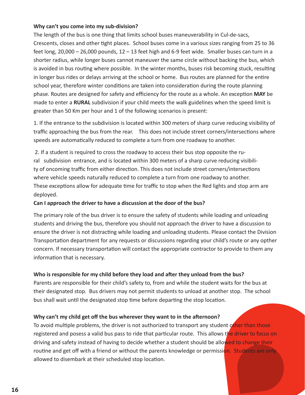#### **Why can't you come into my sub-division?**

The length of the bus is one thing that limits school buses maneuverability in Cul-de-sacs, Crescents, closes and other tight places. School buses come in a various sizes ranging from 25 to 36 feet long, 20,000 – 26,000 pounds, 12 – 13 feet high and 6-9 feet wide. Smaller buses can turn in a shorter radius, while longer buses cannot maneuver the same circle without backing the bus, which is avoided in bus routing where possible. In the winter months, buses risk becoming stuck, resulting in longer bus rides or delays arriving at the school or home. Bus routes are planned for the entire school year, therefore winter conditions are taken into consideration during the route planning phase. Routes are designed for safety and efficiency for the route as a whole. An exception MAY be made to enter a **RURAL** subdivision if your child meets the walk guidelines when the speed limit is greater than 50 Km per hour and 1 of the following scenarios is present:

1. If the entrance to the subdivision is located within 300 meters of sharp curve reducing visibility of traffic approaching the bus from the rear. This does not include street corners/intersections where speeds are automatically reduced to complete a turn from one roadway to another.

 2. If a student is required to cross the roadway to access their bus stop opposite the rural subdivision entrance, and is located within 300 meters of a sharp curve reducing visibility of oncoming traffic from either direction. This does not include street corners/intersections where vehicle speeds naturally reduced to complete a turn from one roadway to another. These exceptions allow for adequate time for traffic to stop when the Red lights and stop arm are deployed.

#### **Can I approach the driver to have a discussion at the door of the bus?**

The primary role of the bus driver is to ensure the safety of students while loading and unloading students and driving the bus, therefore you should not approach the driver to have a discussion to ensure the driver is not distracting while loading and unloading students. Please contact the Division Transportation department for any requests or discussions regarding your child's route or any opther concern. If necessary transportation will contact the appropriate contractor to provide to them any information that is necessary.

#### **Who is responsible for my child before they load and after they unload from the bus?**

Parents are responsible for their child's safety to, from and while the student waits for the bus at their designated stop. Bus drivers may not permit students to unload at another stop. The school bus shall wait until the designated stop time before departing the stop location.

#### **Why can't my child get off the bus wherever they want to in the afternoon?**

To avoid multiple problems, the driver is not authorized to transport any student other than those registered and posess a valid bus pass to ride that particular route. This allows the driver to focus on driving and safety instead of having to decide whether a student should be allowed to change their routine and get off with a friend or without the parents knowledge or permission. Students are only allowed to disembark at their scheduled stop location.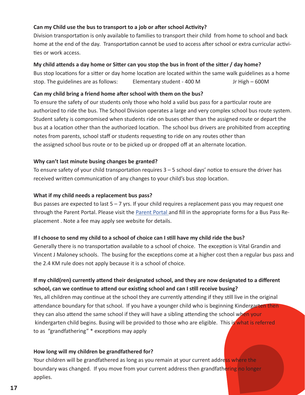#### **Can my Child use the bus to transport to a job or after school Activity?**

Division transportation is only available to families to transport their child from home to school and back home at the end of the day. Transportation cannot be used to access after school or extra curricular activities or work access.

#### **My child aƩ ends a day home or SiƩ er can you stop the bus in front of the siƩ er / day home?**

Bus stop locations for a sitter or day home location are located within the same walk guidelines as a home stop. The guidelines are as follows: Elementary student - 400 M Jr High – 600M

#### **Can my child bring a friend home after school with them on the bus?**

To ensure the safety of our students only those who hold a valid bus pass for a particular route are authorized to ride the bus. The School Division operates a large and very complex school bus route system. Student safety is compromised when students ride on buses other than the assigned route or depart the bus at a location other than the authorized location. The school bus drivers are prohibited from accepting notes from parents, school staff or students requesting to ride on any routes other than the assigned school bus route or to be picked up or dropped off at an alternate location.

#### **Why can't last minute busing changes be granted?**

To ensure safety of your child transportation requires  $3 - 5$  school days' notice to ensure the driver has received written communication of any changes to your child's bus stop location.

#### **What if my child needs a replacement bus pass?**

Bus passes are expected to last  $5 - 7$  yrs. If your child requires a replacement pass you may request one through the Parent Portal. Please visit the **Parent Portal** and fill in the appropriate forms for a Bus Pass Replacement . Note a fee may apply see website for details.

#### If I choose to send my child to a school of choice can I still have my child ride the bus?

Generally there is no transportation available to a school of choice. The exception is Vital Grandin and Vincent J Maloney schools. The busing for the exceptions come at a higher cost then a regular bus pass and the 2.4 KM rule does not apply because it is a school of choice.

## If my child(ren) currently attend their designated school, and they are now designated to a different **school, can we continue to attend our existing school and can I still receive busing?**

Yes, all children may continue at the school they are currently attending if they still live in the original attendance boundary for that school. If you have a younger child who is beginning Kindergarten then they can also attend the same school if they will have a sibling attending the school when your kindergarten child begins. Busing will be provided to those who are eligible. This is what is referred to as "grandfathering" \* exceptions may apply

#### **How long will my children be grandfathered for?**

Your children will be grandfathered as long as you remain at your current address where the boundary was changed. If you move from your current address then grandfathering no longer applies.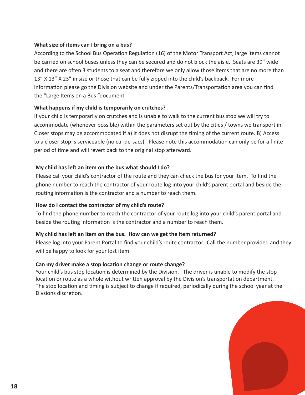#### **What size of items can I bring on a bus?**

According to the School Bus Operation Regulation (16) of the Motor Transport Act, large items cannot be carried on school buses unless they can be secured and do not block the aisle. Seats are 39" wide and there are often 3 students to a seat and therefore we only allow those items that are no more than 13" X 13" X 23" in size or those that can be fully zipped into the child's backpack. For more information please go the Division website and under the Parents/Transportation area you can find the "Large Items on a Bus "document

#### **What happens if my child is temporarily on crutches?**

If your child is temporarily on crutches and is unable to walk to the current bus stop we will try to accommodate (whenever possible) within the parameters set out by the cities / towns we transport in. Closer stops may be accommodated if a) It does not disrupt the timing of the current route. B) Access to a closer stop is serviceable (no cul-de-sacs). Please note this accommodation can only be for a finite period of time and will revert back to the original stop afterward.

#### **My child has left an item on the bus what should I do?**

Please call your child's contractor of the route and they can check the bus for your item. To find the phone number to reach the contractor of your route log into your child's parent portal and beside the routing information is the contractor and a number to reach them.

#### **How do I contact the contractor of my child's route?**

To find the phone number to reach the contractor of your route log into your child's parent portal and beside the routing information is the contractor and a number to reach them.

#### **My child has left an item on the bus. How can we get the item returned?**

Please log into your Parent Portal to find your child's route contractor. Call the number provided and they will be happy to look for your lost item

#### **Can my driver make a stop location change or route change?**

Your child's bus stop location is determined by the Division. The driver is unable to modify the stop location or route as a whole without written approval by the Division's transportation department. The stop location and timing is subject to change if required, periodically during the school year at the Divsions discretion.